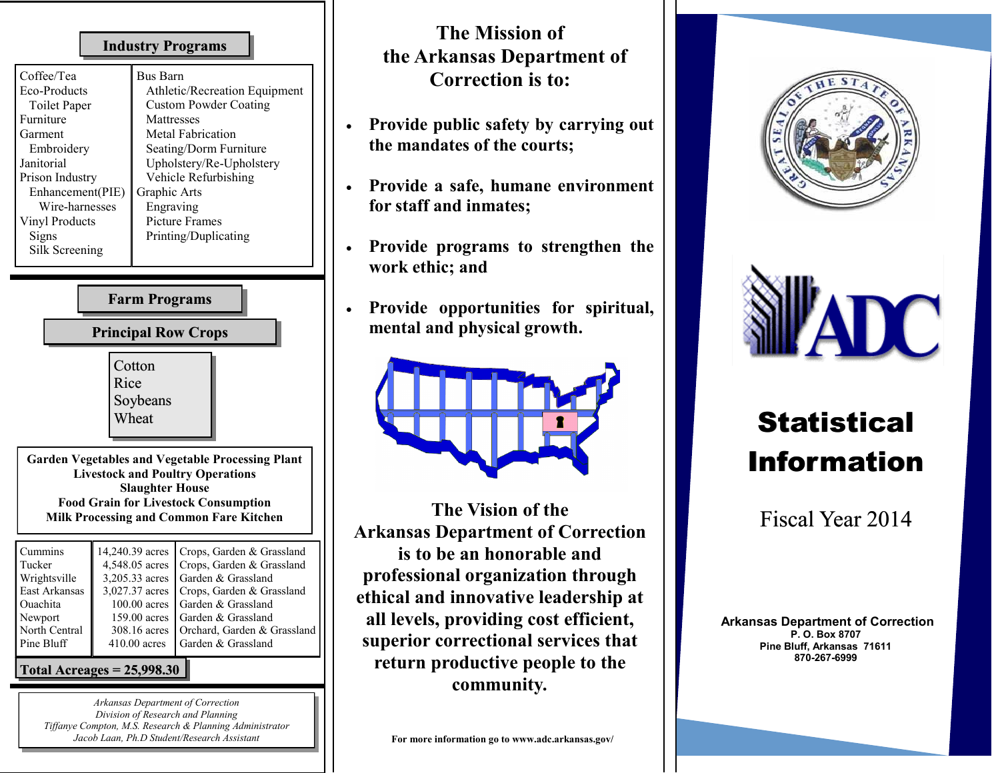#### **Industry Programs**

| Coffee/Tea       | <b>Bus Barn</b>               |
|------------------|-------------------------------|
| Eco-Products     | Athletic/Recreation Equipment |
| Toilet Paper     | <b>Custom Powder Coating</b>  |
| Furniture        | Mattresses                    |
| Garment          | Metal Fabrication             |
| Embroidery       | Seating/Dorm Furniture        |
| Janitorial       | Upholstery/Re-Upholstery      |
| Prison Industry  | Vehicle Refurbishing          |
| Enhancement(PIE) | Graphic Arts                  |
| Wire-harnesses   | Engraving                     |
| Vinyl Products   | <b>Picture Frames</b>         |
| Signs            | Printing/Duplicating          |
| Silk Screening   |                               |
|                  |                               |

## **Farm Programs**

### **Principal Row Crops**



**Garden Vegetables and Vegetable Processing Plant Livestock and Poultry Operations Slaughter House Food Grain for Livestock Consumption Milk Processing and Common Fare Kitchen**

| Cummins       |                | 14,240.39 acres   Crops, Garden & Grassland |
|---------------|----------------|---------------------------------------------|
| Tucker        |                | 4,548.05 acres   Crops, Garden & Grassland  |
| Wrightsville  |                | 3,205.33 acres   Garden & Grassland         |
| East Arkansas |                | 3,027.37 acres   Crops, Garden & Grassland  |
| Ouachita      |                | 100.00 acres   Garden & Grassland           |
| Newport       |                | 159.00 acres   Garden & Grassland           |
| North Central | 308.16 acres   | Orchard, Garden & Grassland                 |
| Pine Bluff    | $410.00$ acres | Garden & Grassland                          |
|               |                |                                             |

#### **Total Acreages = 25,998.30**

*Arkansas Department of Correction Division of Research and Planning Tiffanye Compton, M.S. Research & Planning Administrator Jacob Laan, Ph.D Student/Research Assistant*

## **The Mission of the Arkansas Department of Correction is to:**

- **Provide public safety by carrying out the mandates of the courts;**
- **Provide a safe, humane environment for staff and inmates;**
- **Provide programs to strengthen the work ethic; and**
- **Provide opportunities for spiritual, mental and physical growth.**



**The Vision of the Arkansas Department of Correction is to be an honorable and professional organization through ethical and innovative leadership at all levels, providing cost efficient, superior correctional services that return productive people to the community***.* 





# **Statistical** Information

Fiscal Year 2014

**Arkansas Department of Correction P. O. Box 8707 Pine Bluff, Arkansas 71611 870-267-6999**